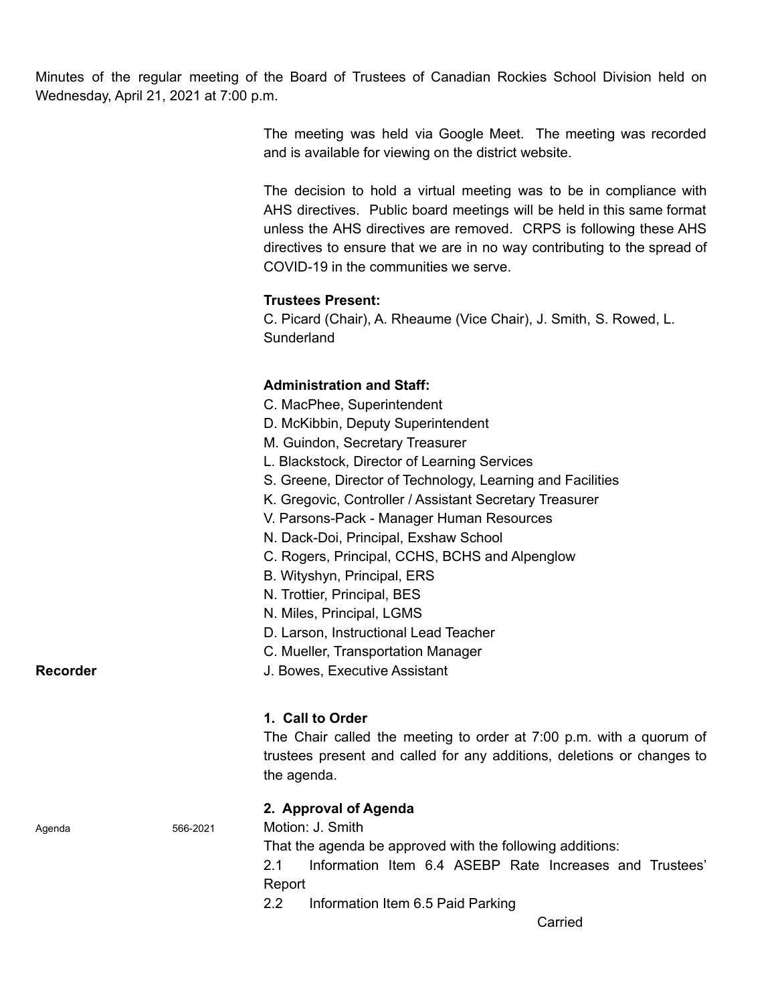Minutes of the regular meeting of the Board of Trustees of Canadian Rockies School Division held on Wednesday, April 21, 2021 at 7:00 p.m.

> The meeting was held via Google Meet. The meeting was recorded and is available for viewing on the district website.

> The decision to hold a virtual meeting was to be in compliance with AHS directives. Public board meetings will be held in this same format unless the AHS directives are removed. CRPS is following these AHS directives to ensure that we are in no way contributing to the spread of COVID-19 in the communities we serve.

# **Trustees Present:**

C. Picard (Chair), A. Rheaume (Vice Chair), J. Smith, S. Rowed, L. Sunderland

# **Administration and Staff:**

- C. MacPhee, Superintendent
- D. McKibbin, Deputy Superintendent
- M. Guindon, Secretary Treasurer
- L. Blackstock, Director of Learning Services
- S. Greene, Director of Technology, Learning and Facilities
- K. Gregovic, Controller / Assistant Secretary Treasurer
- V. Parsons-Pack Manager Human Resources
- N. Dack-Doi, Principal, Exshaw School
- C. Rogers, Principal, CCHS, BCHS and Alpenglow
- B. Wityshyn, Principal, ERS
- N. Trottier, Principal, BES
- N. Miles, Principal, LGMS
- D. Larson, Instructional Lead Teacher
- C. Mueller, Transportation Manager

**Recorder Recorder** J. Bowes, Executive Assistant

## **1. Call to Order**

The Chair called the meeting to order at 7:00 p.m. with a quorum of trustees present and called for any additions, deletions or changes to the agenda.

# **2. Approval of Agenda**

Agenda 566-2021 Motion: J. Smith

That the agenda be approved with the following additions:

2.1 Information Item 6.4 ASEBP Rate Increases and Trustees' Report

2.2 Information Item 6.5 Paid Parking

Carried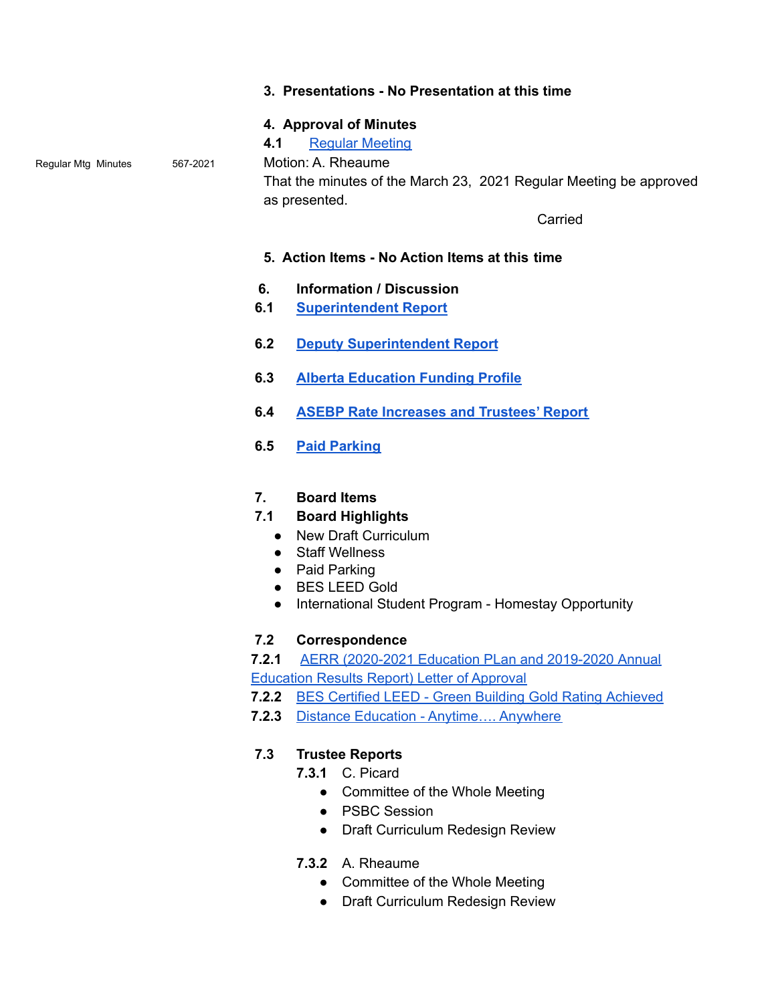#### **3. Presentations - No Presentation at this time**

## **4. Approval of Minutes**

**4.1** Regular [Meeting](https://www.crps.ca/download/344404)

Regular Mtg Minutes 567-2021 Motion: A. Rheaume

That the minutes of the March 23, 2021 Regular Meeting be approved as presented.

**Carried** 

## **5. Action Items - No Action Items at this time**

- **6. Information / Discussion**
- **6.1 [Superintendent](https://drive.google.com/file/d/1-Co-eAWwyTqpXK0VZrOaw7TvnmnLEuPV/view?usp=sharing) Report**
- **6.2 Deputy [Superintendent](https://drive.google.com/file/d/1w6vqcGJ-zZaPNyY5oCJkADHJoG7xGDJC/view?usp=sharing) Report**
- **6.3 Alberta [Education](https://drive.google.com/file/d/1-R_dDWB4XZ84Ys5Lfn_dKVl_OS5eoK9C/view?usp=sharing) Funding Profile**
- **6.4 ASEBP Rate [Increases](https://drive.google.com/file/d/1-JWJVs1k0UvjeOSGuk1pZ9pkZ6vsUrYK/view?usp=sharing) and Trustees' Report**
- **6.5 Paid [Parking](https://drive.google.com/file/d/1-RUADCHVCwhga2UGOlYYZs468NiGYTSs/view?usp=sharing)**

## **7. Board Items**

- **7.1 Board Highlights**
	- New Draft Curriculum
	- Staff Wellness
	- Paid Parking
	- BES LEED Gold
	- International Student Program Homestay Opportunity

## **7.2 Correspondence**

**7.2.1** AERR [\(2020-2021](https://drive.google.com/file/d/1WM-soVL4DQJD9UYK4GKYM1qsk4DMXkm6/view?usp=sharing) Education PLan and 2019-2020 Annual [Education](https://drive.google.com/file/d/1WM-soVL4DQJD9UYK4GKYM1qsk4DMXkm6/view?usp=sharing) Results Report) Letter of Approval

- **7.2.2** BES Certified LEED Green Building Gold Rating [Achieved](https://drive.google.com/file/d/1mWfNTOOBQAI1ebMULsbWpwWEqI1eglmt/view?usp=sharing)
- **7.2.3** Distance Education [Anytime….](https://drive.google.com/file/d/1pog4aMhVvZmBDUhehVX1_h-P0D-s5E-D/view?usp=sharing) Anywhere

# **7.3 Trustee Reports**

- **7.3.1** C. Picard
	- Committee of the Whole Meeting
	- PSBC Session
	- Draft Curriculum Redesign Review
- **7.3.2** A. Rheaume
	- Committee of the Whole Meeting
	- Draft Curriculum Redesign Review